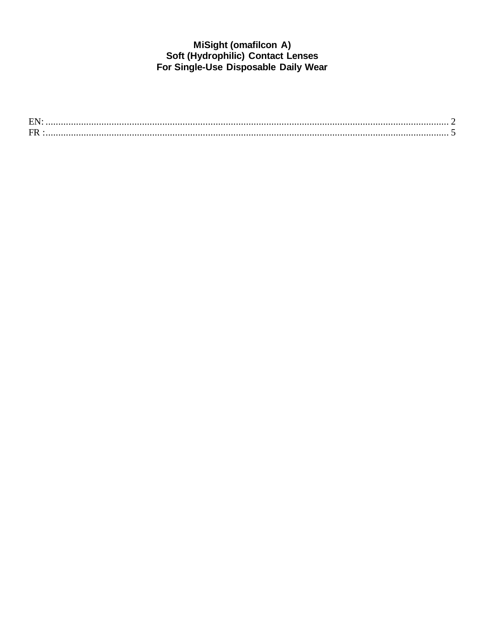# MiSight (omafilcon A)<br>Soft (Hydrophilic) Contact Lenses<br>For Single-Use Disposable Daily Wear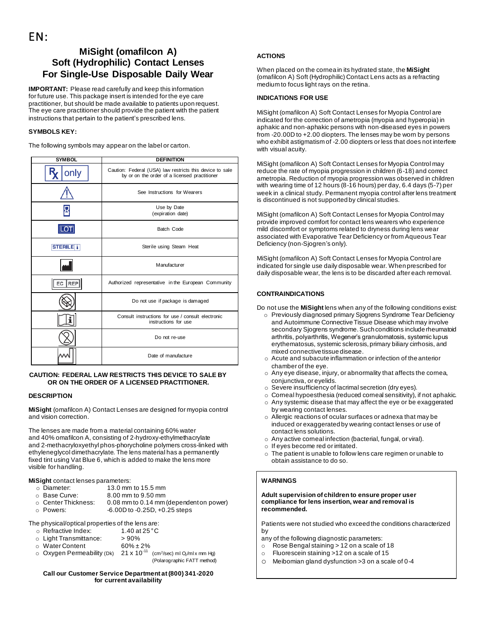# <span id="page-1-0"></span>**MiSight (omafilcon A) Soft (Hydrophilic) Contact Lenses For Single-Use Disposable Daily Wear**

**IMPORTANT:** Please read carefully and keep this information for future use. This package insert is intended for the eye care practitioner, but should be made available to patients upon request. The eye care practitioner should provide the patient with the patient instructions that pertain to the patient's prescribed lens.

# **SYMBOLS KEY:**

The following symbols may appear on the label or carton.

| <b>SYMBOL</b>    | <b>DEFINITION</b>                                                                                         |  |
|------------------|-----------------------------------------------------------------------------------------------------------|--|
| only             | Caution: Federal (USA) law restricts this device to sale<br>by or on the order of a licensed practitioner |  |
|                  | See Instructions for Wearers                                                                              |  |
|                  | Use by Date<br>(expiration date)                                                                          |  |
| <b>LOT</b>       | Batch Code                                                                                                |  |
| <b>STERILE I</b> | Sterile using Steam Heat                                                                                  |  |
|                  | Manufacturer                                                                                              |  |
| EC<br><b>REP</b> | Authorized representative in the European Community                                                       |  |
|                  | Do not use if package is damaged                                                                          |  |
|                  | Consult instructions for use / consult electronic<br>instructions for use                                 |  |
|                  | Do not re-use                                                                                             |  |
|                  | Date of manufacture                                                                                       |  |

## **CAUTION: FEDERAL LAW RESTRICTS THIS DEVICE TO SALE BY OR ON THE ORDER OF A LICENSED PRACTITIONER.**

## **DESCRIPTION**

**MiSight** (omafilcon A) Contact Lenses are designed for myopia control and vision correction.

The lenses are made from a material containing 60% water and 40% omafilcon A, consisting of 2-hydroxy-ethylmethacrylate and 2-methacryloxyethyl phos-phorycholine polymers cross-linked with ethyleneglycol dimethacrylate. The lens material has a permanently fixed tint using Vat Blue 6, which is added to make the lens more visible for handling.

## **MiSight** contact lenses parameters:

| o Diameter:         | 13.0 mm to 15.5 mm                      |
|---------------------|-----------------------------------------|
| ○ Base Curve:       | 8.00 mm to 9.50 mm                      |
| ○ Center Thickness: | 0.08 mm to 0.14 mm (dependent on power) |
| ⊙ Powers:           | $-6.00D$ to $-0.25D$ , $+0.25$ steps    |

The physical/optical properties of the lens are:

| $\circ~$ Refractive Index: |  | 1.40 at $25^{\circ}$ C |
|----------------------------|--|------------------------|
|                            |  |                        |

|  | ○ Light Transmittance: | >90% |
|--|------------------------|------|
|  |                        |      |

- o Water Content 60% ± 2%<br>
⊙ Oxygen Permeability (Dk) 21 x 10<sup>-11</sup>
- $\circ$  Oxygen Permeability (Dk)  $/cm<sup>2</sup>/sec)$  ml  $Q<sub>2</sub>/ml$  x mm Hg) (Polarographic FATT method)

## **Call our Customer Service Department at (800) 341-2020 for current availability**

# **ACTIONS**

When placed on the cornea in its hydrated state, the **MiSight** (omafilcon A) Soft (Hydrophilic) Contact Lens acts as a refracting medium to focus light rays on the retina.

# **INDICATIONS FOR USE**

MiSight (omafilcon A) Soft Contact Lenses for Myopia Control are indicated for the correction of ametropia (myopia and hyperopia) in aphakic and non-aphakic persons with non-diseased eyes in powers from -20.00D to +2.00 diopters. The lenses may be worn by persons who exhibit astigmatism of -2.00 diopters or less that does not interfere with visual acuity.

MiSight (omafilcon A) Soft Contact Lenses for Myopia Control may reduce the rate of myopia progression in children (6-18) and correct ametropia. Reduction of myopia progression was observed in children with wearing time of 12 hours (8-16 hours) per day, 6.4 days (5-7) per week in a clinical study. Permanent myopia control after lens treatment is discontinued is not supported by clinical studies.

MiSight (omafilcon A) Soft Contact Lenses for Myopia Control may provide improved comfort for contact lens wearers who experience mild discomfort or symptoms related to dryness during lens wear associated with Evaporative Tear Deficiency or from Aqueous Tear Deficiency (non-Sjogren's only).

MiSight (omafilcon A) Soft Contact Lenses for Myopia Control are indicated for single use daily disposable wear. When prescribed for daily disposable wear, the lens is to be discarded after each removal.

## **CONTRAINDICATIONS**

Do not use the **MiSight** lens when any of the following conditions exist:

- o Previously diagnosed primary Sjogrens Syndrome Tear Deficiency and Autoimmune Connective Tissue Disease which may involve secondary Sjogrens syndrome. Such conditions include rheumatoid arthritis, polyarthritis, Wegener's granulomatosis, systemic lupus erythematosus, systemic sclerosis, primary biliary cirrhosis, and mixed connective tissue disease.
- o Acute and subacute inflammation or infection of the anterior chamber of the eye.
- o Any eye disease, injury, or abnormality that affects the cornea, conjunctiva, or eyelids.
- o Severe insufficiency of lacrimal secretion (dry eyes).
- o Corneal hypoesthesia (reduced corneal sensitivity), if not aphakic.
- o Any systemic disease that may affect the eye or be exaggerated by wearing contact lenses.
- o Allergic reactions of ocular surfaces or adnexa that may be induced or exaggerated by wearing contact lenses or use of contact lens solutions.
- o Any active corneal infection (bacterial, fungal, or viral).
- o If eyes become red or irritated.
- o The patient is unable to follow lens care regimen or unable to obtain assistance to do so.

# **WARNINGS**

## **Adult supervision of children to ensure proper user compliance for lens insertion, wear and removal is recommended.**

Patients were not studied who exceed the conditions characterized by

any of the following diagnostic parameters:

- o Rose Bengal staining > 12 on a scale of 18
- o Fluorescein staining >12 on a scale of 15
- o Meibomian gland dysfunction >3 on a scale of 0-4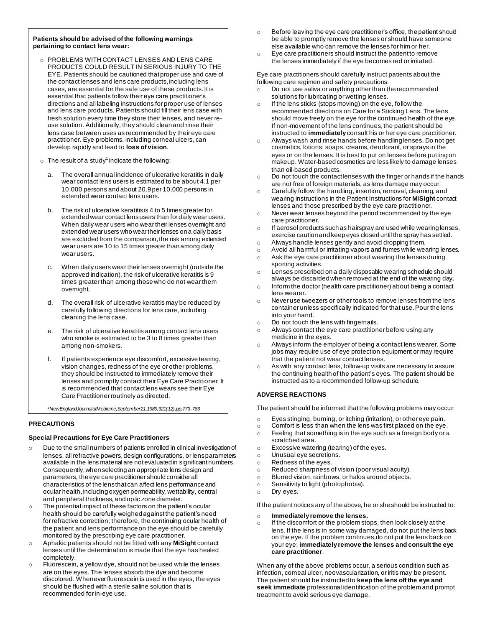## **Patients should be advised of the following warnings pertaining to contact lens wear:**

- o PROBLEMS WITH CONTACT LENSES AND LENS CARE PRODUCTS COULD RESULT IN SERIOUS INJURY TO THE EYE. Patients should be cautioned that proper use and care of the contact lenses and lens care products, including lens cases, are essential for the safe use of these products. It is essential that patients follow their eye care practitioner's directions and all labeling instructions for proper use of lenses and lens care products. Patients should fill their lens case with fresh solution every time they store their lenses, and never reuse solution. Additionally, they should clean and rinse their lens case between uses as recommended by their eye care practitioner. Eye problems, including corneal ulcers, can develop rapidly and lead to **loss of vision**.
- $\circ$  The result of a study<sup>1</sup> indicate the following:
	- The overall annual incidence of ulcerative keratitis in daily wear contact lens users is estimated to be about 4.1 per 10,000 persons and about 20.9 per 10,000 persons in extended wear contact lens users.
	- b. The risk of ulcerative keratitis is 4 to 5 times greater for extended wear contact lens users than for daily wear users. When daily wear users who wear their lenses overnight and extended wear users who wear their lenses on a daily basis are excluded from the comparison, the risk among extended wear users are 10 to 15 times greater than among daily wear users.
	- c. When daily users wear their lenses overnight (outside the approved indication), the risk of ulcerative keratitis is 9 times greater than among those who do not wear them overnight.
	- The overall risk of ulcerative keratitis may be reduced by carefully following directions for lens care, including cleaning the lens case.
	- e. The risk of ulcerative keratitis among contact lens users who smoke is estimated to be 3 to 8 times greater than among non-smokers.
	- f. If patients experience eye discomfort, excessive tearing, vision changes, redness of the eye or other problems, they should be instructed to immediately remove their lenses and promptly contact their Eye Care Practitioner. It is recommended that contact lens wears see their Eye Care Practitioner routinely as directed.

*<sup>1</sup>NewEnglandJournalofMedicine,September21,1989;321(12),pp.773-783*

## **PRECAUTIONS**

## **Special Precautions for Eye Care Practitioners**

- o Due to the small numbers of patients enrolled in clinical investigation of lenses, all refractive powers, design configurations, or lens parameters available in the lens material are not evaluated in significant numbers. Consequently, when selecting an appropriate lens design and parameters, the eye care practitioner should consider all characteristics of the lens that can affect lens performance and ocular health, including oxygen permeability, wettability, central and peripheral thickness, and optic zone diameter.
- o The potential impact of these factors on the patient's ocular health should be carefully weighed against the patient's need for refractive correction; therefore, the continuing ocular health of the patient and lens performance on the eye should be carefully monitored by the prescribing eye care practitioner.
- o Aphakic patients should not be fitted with any **MiSight** contact lenses until the determination is made that the eye has healed completely.
- o Fluorescein, a yellow dye, should not be used while the lenses are on the eyes. The lenses absorb the dye and become discolored. Whenever fluorescein is used in the eyes, the eyes should be flushed with a sterile saline solution that is recommended for in-eye use.
- $\circ$  Before leaving the eye care practitioner's office, the patient should be able to promptly remove the lenses or should have someone else available who can remove the lenses for him or her.
- o Eye care practitioners should instruct the patient to remove the lenses immediately if the eye becomes red or irritated.

Eye care practitioners should carefully instruct patients about the following care regimen and safety precautions:

- o Do not use saliva or anything other than the recommended solutions for lubricating or wetting lenses.
- o If the lens sticks (stops moving) on the eye, follow the recommended directions on Care for a Sticking Lens. The lens should move freely on the eye for the continued health of the eye. If non-movement of the lens continues, the patient should be instructed to **immediately** consult his or her eye care practitioner.
- o Always wash and rinse hands before handling lenses. Do not get cosmetics, lotions, soaps, creams, deodorant, or sprays in the eyes or on the lenses. It is best to put on lenses before putting on makeup. Water-based cosmetics are less likely to damage lenses than oil-based products.
- o Do not touch the contact lenses with the finger or hands if the hands are not free of foreign materials, as lens damage may occur.
- o Carefully follow the handling, insertion, removal, cleaning, and wearing instructions in the Patient Instructions for **MiSight** contact lenses and those prescribed by the eye care practitioner.
- o Never wear lenses beyond the period recommended by the eye care practitioner.
- $\circ$  If aerosol products such as hairspray are used while wearing lenses, exercise caution and keep eyes closed until the spray has settled.
- o Always handle lenses gently and avoid dropping them.
- o Avoid all harmful or irritating vapors and fumes while wearing lenses.
- o Ask the eye care practitioner about wearing the lenses during sporting activities.
- o Lenses prescribed on a daily disposable wearing schedule should always be discarded when removed at the end of the wearing day.
- o Inform the doctor (health care practitioner) about being a contact lens wearer.
- o Never use tweezers or other tools to remove lenses from the lens container unless specifically indicated for that use. Pour the lens into your hand.
- o Do not touch the lens with fingernails.
- o Always contact the eye care practitioner before using any medicine in the eyes.
- o Always inform the employer of being a contact lens wearer. Some jobs may require use of eye protection equipment or may require that the patient not wear contact lenses.
- o As with any contact lens, follow-up visits are necessary to assure the continuing health of the patient's eyes. The patient should be instructed as to a recommended follow-up schedule.

## **ADVERSE REACTIONS**

The patient should be informed that the following problems may occur:

- o Eyes stinging, burning, or itching (irritation), or other eye pain.
- o Comfort is less than when the lens was first placed on the eye.
- o Feeling that something is in the eye such as a foreign body or a scratched area.
- o Excessive watering (tearing) of the eyes.
- o Unusual eye secretions.
- o Redness of the eyes.
- $\circ$  Reduced sharpness of vision (poor visual acuity).
- o Blurred vision, rainbows, or halos around objects.
- o Sensitivity to light (photophobia).
- o Dry eyes.

If the patient notices any of the above, he or she should be instructed to:

- o **Immediately remove the lenses.**
- o If the discomfort or the problem stops, then look closely at the lens. If the lens is in some way damaged, do not put the lens back on the eye. If the problem continues,do not put the lens back on your eye; **immediately remove the lenses and consult the eye care practitioner**.

When any of the above problems occur, a serious condition such as infection, corneal ulcer, neovascularization, or iritis may be present. The patient should be instructed to **keep the lens off the eye and seek immediate** professional identification of the problem and prompt treatment to avoid serious eye damage.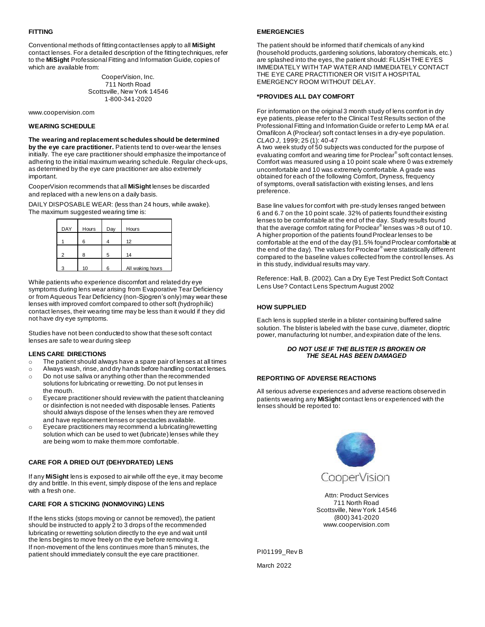## **FITTING**

Conventional methods of fitting contact lenses apply to all **MiSight** contact lenses. For a detailed description of the fitting techniques, refer to the **MiSight** Professional Fitting and Information Guide, copies of which are available from:

> CooperVision, Inc. 711 North Road Scottsville, New York 14546 1-800-341-2020

www.coopervision.com

## **WEARING SCHEDULE**

**The wearing and replacement schedules should be determined** 

**by the eye care practitioner.** Patients tend to over-wear the lenses initially. The eye care practitioner should emphasize the importance of adhering to the initial maximum wearing schedule. Regular check-ups, as determined by the eye care practitioner are also extremely important.

CooperVision recommends that all **MiSight** lenses be discarded and replaced with a new lens on a daily basis.

DAILY DISPOSABLE WEAR: (less than 24 hours, while awake). The maximum suggested wearing time is:

| <b>DAY</b> | Hours | Day | Hours            |
|------------|-------|-----|------------------|
|            | 6     |     | 12               |
|            | я     | 5   | 14               |
|            | 10    | ี   | All waking hours |

While patients who experience discomfort and related dry eye symptoms during lens wear arising from Evaporative Tear Deficiency or from Aqueous Tear Deficiency (non-Sjogren's only) may wear these lenses with improved comfort compared to other soft (hydrophilic) contact lenses, their wearing time may be less than it would if they did not have dry eye symptoms.

Studies have not been conducted to show that these soft contact lenses are safe to wear during sleep

## **LENS CARE DIRECTIONS**

- o The patient should always have a spare pair of lenses at all times
- o Always wash, rinse, and dry hands before handling contact lenses. o Do not use saliva or anything other than the recommended
- solutions for lubricating or rewetting. Do not put lenses in the mouth. o Eyecare practitioner should review with the patient that cleaning
- or disinfection is not needed with disposable lenses. Patients should always dispose of the lenses when they are removed and have replacement lenses or spectacles available.
- o Eyecare practitioners may recommend a lubricating/rewetting solution which can be used to wet (lubricate) lenses while they are being worn to make them more comfortable.

## **CARE FOR A DRIED OUT (DEHYDRATED) LENS**

If any **MiSight** lens is exposed to air while off the eye, it may become dry and brittle. In this event, simply dispose of the lens and replace with a fresh one.

## **CARE FOR A STICKING (NONMOVING) LENS**

If the lens sticks (stops moving or cannot be removed), the patient should be instructed to apply 2 to 3 drops of the recommended lubricating or rewetting solution directly to the eye and wait until the lens begins to move freely on the eye before removing it. If non-movement of the lens continues more than 5 minutes, the patient should immediately consult the eye care practitioner.

## **EMERGENCIES**

The patient should be informed that if chemicals of any kind (household products, gardening solutions, laboratory chemicals, etc.) are splashed into the eyes, the patient should: FLUSH THE EYES IMMEDIATELY WITH TAP WATER AND IMMEDIATELY CONTACT THE EYE CARE PRACTITIONER OR VISIT A HOSPITAL EMERGENCY ROOM WITHOUT DELAY.

## **\*PROVIDES ALL DAY COMFORT**

For information on the original 3 month study of lens comfort in dry eye patients, please refer to the Clinical Test Results section of the Professional Fitting and Information Guide or refer to Lemp MA *et al.* Omafilcon A (Proclear) soft contact lenses in a dry-eye population. *CLAO J*, 1999; 25 (1): 40-47

A two week study of 50 subjects was conducted for the purpose of evaluating comfort and wearing time for Proclear® soft contact lenses. Comfort was measured using a 10 point scale where 0 was extremely uncomfortable and 10 was extremely comfortable. A grade was obtained for each of the following Comfort, Dryness, frequency of symptoms, overall satisfaction with existing lenses, and lens preference.

Base line values for comfort with pre-study lenses ranged between 6 and 6.7 on the 10 point scale. 32% of patients found their existing lenses to be comfortable at the end of the day. Study results found that the average comfort rating for Proclear® lenses was >8 out of 10. A higher proportion of the patients found Proclear lenses to be comfortable at the end of the day (91.5% found Proclear comfortable at the end of the day). The values for Proclear® were statistically different compared to the baseline values collected from the control lenses. As in this study, individual results may vary.

Reference: Hall, B. (2002). Can a Dry Eye Test Predict Soft Contact Lens Use? Contact Lens Spectrum August 2002

## **HOW SUPPLIED**

Each lens is supplied sterile in a blister containing buffered saline solution. The blister is labeled with the base curve, diameter, dioptric power, manufacturing lot number, and expiration date of the lens.

#### *DO NOT USE IF THE BLISTER IS BROKEN OR THE SEAL HAS BEEN DAMAGED*

## **REPORTING OF ADVERSE REACTIONS**

All serious adverse experiences and adverse reactions observed in patients wearing any **MiSight** contact lens or experienced with the lenses should be reported to:



Attn: Product Services 711 North Road Scottsville, New York 14546 (800) 341-2020 [www.coopervision.com](http://www.coopervision.com/)

PI01199\_Rev B

March 2022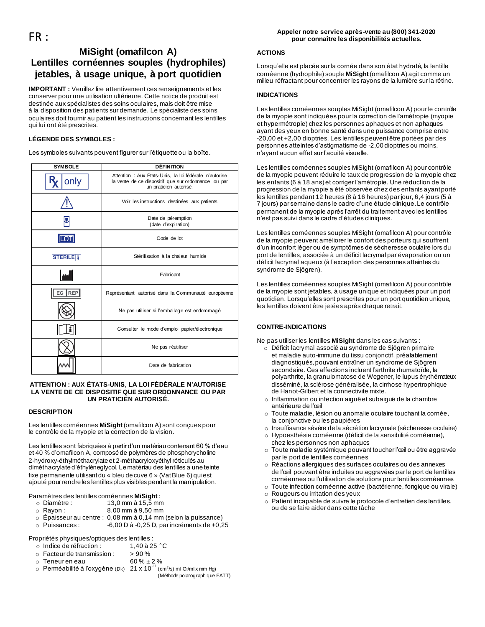## **Appeler notre service après-vente au (800) 341-2020 pour connaître les disponibilités actuelles.**

# <span id="page-4-0"></span>**MiSight (omafilcon A) Lentilles cornéennes souples (hydrophiles) jetables, à usage unique, à port quotidien**

**IMPORTANT :** Veuillez lire attentivement ces renseignements et les conserver pour une utilisation ultérieure. Cette notice de produit est destinée aux spécialistes des soins oculaires, mais doit être mise à la disposition des patients sur demande. Le spécialiste des soins oculaires doit fournir au patient les instructions concernant les lentilles qui lui ont été prescrites.

# **LÉGENDE DES SYMBOLES :**

Les symboles suivants peuvent figurer sur l'étiquette ou la boîte.

| <b>SYMBOLE</b>    | <b>DÉFINITION</b>                                                                                                                       |  |
|-------------------|-----------------------------------------------------------------------------------------------------------------------------------------|--|
| only              | Attention : Aux États-Unis, la loi fédérale n'autorise<br>la vente de ce dispositif que sur ordonnance ou par<br>un praticien autorisé. |  |
|                   | Voir les instructions destinées aux patients                                                                                            |  |
|                   | Date de péremption<br>(date d'expiration)                                                                                               |  |
|                   | Code de lot                                                                                                                             |  |
| <b>STERILE</b>    | Stérilisation à la chaleur humide                                                                                                       |  |
|                   | Fabricant                                                                                                                               |  |
| <b>REP</b><br>EC. | Représentant autorisé dans la Communauté européenne                                                                                     |  |
|                   | Ne pas utiliser si l'emballage est endommagé                                                                                            |  |
|                   | Consulter le mode d'emploi papier/électronique                                                                                          |  |
|                   | Ne pas réutiliser                                                                                                                       |  |
|                   | Date de fabrication                                                                                                                     |  |

## **ATTENTION : AUX ÉTATS-UNIS, LA LOI FÉDÉRALE N'AUTORISE LA VENTE DE CE DISPOSITIF QUE SUR ORDONNANCE OU PAR UN PRATICIEN AUTORISÉ.**

## **DESCRIPTION**

Les lentilles cornéennes **MiSight** (omafilcon A) sont conçues pour le contrôle de la myopie et la correction de la vision.

Les lentilles sont fabriquées à partir d'un matériau contenant 60 % d'eau et 40 % d'omafilcon A, composé de polymères de phosphorycholine 2-hydroxy-éthylméthacrylate et 2-méthacryloxyéthyl réticulés au diméthacrylate d'éthylèneglycol. Le matériau des lentilles a une teinte fixe permanente utilisant du « bleu de cuve 6 » (Vat Blue 6) qui est ajouté pour rendre les lentilles plus visibles pendant la manipulation.

Paramètres des lentilles cornéennes **MiSight** :

- 
- o Diamètre : 13,0 mm à 15,5 mm 8,00 mm à 9,50 mm
- o Épaisseur au centre : 0,08 mm à 0,14 mm (selon la puissance)
- $\circ$  Puissances : -6,00 D à -0,25 D, par incréments de +0,25

Propriétés physiques/optiques des lentilles :

| $\circ$ Indice de réfraction : | 1,40 à 25 °C |
|--------------------------------|--------------|
|                                |              |

- $\circ$  Facteur de transmission :  $> 90\%$
- $\circ$  Teneur en eau 60 %  $\pm$  2 %
- $\, \circ \,$  Perméabilité à l'oxygène (Dk)  $\,$  21 x 10 $^{11}$  (cm²/s) ml O $_{2}$ /ml $\times$ mm Hg)

(Méthode polarographique FATT)

## **ACTIONS**

Lorsqu'elle est placée sur la cornée dans son état hydraté, la lentille cornéenne (hydrophile) souple **MiSight** (omafilcon A) agit comme un milieu réfractant pour concentrer les rayons de la lumière sur la rétine.

# **INDICATIONS**

Les lentilles cornéennes souples MiSight (omafilcon A) pour le contrôle de la myopie sont indiquées pour la correction de l'amétropie (myopie et hypermétropie) chez les personnes aphaques et non aphaques ayant des yeux en bonne santé dans une puissance comprise entre -20,00 et +2,00 dioptries. Les lentilles peuvent être portées par des personnes atteintes d'astigmatisme de -2,00 dioptries ou moins, n'ayant aucun effet sur l'acuité visuelle.

Les lentilles cornéennes souples MiSight (omafilcon A) pour contrôle de la myopie peuvent réduire le taux de progression de la myopie chez les enfants (6 à 18 ans) et corriger l'amétropie. Une réduction de la progression de la myopie a été observée chez des enfants ayant porté les lentilles pendant 12 heures (8 à 16 heures) par jour, 6,4 jours (5 à 7 jours) par semaine dans le cadre d'une étude clinique. Le contrôle permanent de la myopie après l'arrêt du traitement avec les lentilles n'est pas suivi dans le cadre d'études cliniques.

Les lentilles cornéennes souples MiSight (omafilcon A) pour contrôle de la myopie peuvent améliorer le confort des porteurs qui souffrent d'un inconfort léger ou de symptômes de sécheresse oculaire lors du port de lentilles, associée à un déficit lacrymal par évaporation ou un déficit lacrymal aqueux (à l'exception des personnes atteintes du syndrome de Sjögren).

Les lentilles cornéennes souples MiSight (omafilcon A) pour contrôle de la myopie sont jetables, à usage unique et indiquées pour un port quotidien. Lorsqu'elles sont prescrites pour un port quotidien unique, les lentilles doivent être jetées après chaque retrait.

# **CONTRE-INDICATIONS**

Ne pas utiliser les lentilles **MiSight** dans les cas suivants :

- o Déficit lacrymal associé au syndrome de Sjögren primaire et maladie auto-immune du tissu conjonctif, préalablement diagnostiqués, pouvant entraîner un syndrome de Sjögren secondaire. Ces affections incluent l'arthrite rhumatoïde, la polyarthrite, la granulomatose de Wegener, le lupus érythémateux disséminé, la sclérose généralisée, la cirrhose hypertrophique de Hanot-Gilbert et la connectivite mixte.
- o Inflammation ou infection aiguë et subaiguë de la chambre antérieure de l'œil
- Toute maladie, lésion ou anomalie oculaire touchant la cornée, la conjonctive ou les paupières
- o Insuffisance sévère de la sécrétion lacrymale (sécheresse oculaire)
- o Hypoesthésie cornéenne (déficit de la sensibilité cornéenne), chez les personnes non aphaques
- o Toute maladie systémique pouvant toucher l'œil ou être aggravée par le port de lentilles cornéennes
- o Réactions allergiques des surfaces oculaires ou des annexes de l'œil pouvant être induites ou aggravées par le port de lentilles cornéennes ou l'utilisation de solutions pour lentilles cornéennes
- o Toute infection cornéenne active (bactérienne, fongique ou virale)
- o Rougeurs ou irritation des yeux
- o Patient incapable de suivre le protocole d'entretien des lentilles, ou de se faire aider dans cette tâche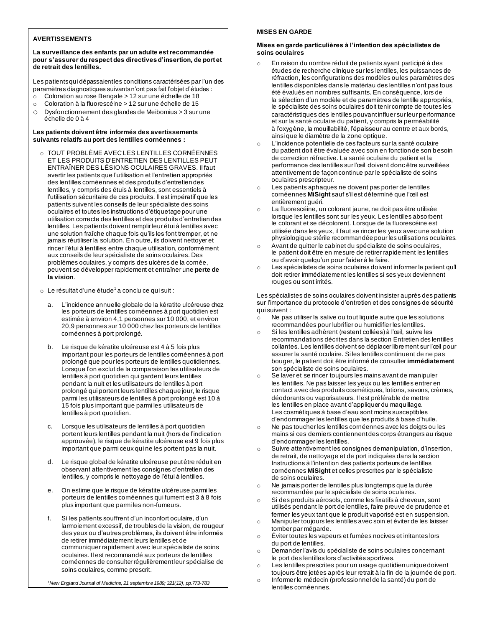# **AVERTISSEMENTS**

## **La surveillance des enfants par un adulte est recommandée pour s'assurer du respect des directives d'insertion, de port et de retrait des lentilles.**

Les patients qui dépassaient les conditions caractérisées par l'un des paramètres diagnostiques suivants n'ont pas fait l'objet d'études :

- o Coloration au rose Bengale > 12 sur une échelle de 18
- o Coloration à la fluorescéine > 12 sur une échelle de 15
- o Dysfonctionnement des glandes de Meibomius > 3 sur une échelle de 0 à 4

## **Les patients doivent être informés des avertissements suivants relatifs au port des lentilles cornéennes :**

- o TOUT PROBLÈME AVEC LES LENTILLES CORNÉENNES ET LES PRODUITS D'ENTRETIEN DES LENTILLES PEUT ENTRAÎNER DES LÉSIONS OCULAIRES GRAVES. Il faut avertir les patients que l'utilisation et l'entretien appropriés des lentilles cornéennes et des produits d'entretien des lentilles, y compris des étuis à lentilles, sont essentiels à l'utilisation sécuritaire de ces produits. Il est impératif que les patients suivent les conseils de leur spécialiste des soins oculaires et toutes les instructions d'étiquetage pour une utilisation correcte des lentilles et des produits d'entretien des lentilles. Les patients doivent remplir leur étui à lentilles avec une solution fraîche chaque fois qu'ils les font tremper, et ne jamais réutiliser la solution. En outre, ils doivent nettoyer et rincer l'étui à lentilles entre chaque utilisation, conformément aux conseils de leur spécialiste de soins oculaires. Des problèmes oculaires, y compris des ulcères de la cornée, peuvent se développer rapidement et entraîner une **perte de la vision**.
- $\,\circ\,$  Le résultat d'une étude $^1$ a conclu ce qui suit :
	- a. L'incidence annuelle globale de la kératite ulcéreuse chez les porteurs de lentilles cornéennes à port quotidien est estimée à environ 4,1 personnes sur 10 000, et environ 20,9 personnes sur 10 000 chez les porteurs de lentilles cornéennes à port prolongé.
	- b. Le risque de kératite ulcéreuse est 4 à 5 fois plus important pour les porteurs de lentilles cornéennes à port prolongé que pour les porteurs de lentilles quotidiennes. Lorsque l'on exclut de la comparaison les utilisateurs de lentilles à port quotidien qui gardent leurs lentilles pendant la nuit et les utilisateurs de lentilles à port prolongé qui portent leurs lentilles chaque jour, le risque parmi les utilisateurs de lentilles à port prolongé est 10 à 15 fois plus important que parmi les utilisateurs de lentilles à port quotidien.
	- c. Lorsque les utilisateurs de lentilles à port quotidien portent leurs lentilles pendant la nuit (hors de l'indication approuvée), le risque de kératite ulcéreuse est 9 fois plus important que parmi ceux qui ne les portent pas la nuit.
	- d. Le risque global de kératite ulcéreuse peut être réduit en observant attentivement les consignes d'entretien des lentilles, y compris le nettoyage de l'étui à lentilles.
	- e. On estime que le risque de kératite ulcéreuse parmi les porteurs de lentilles cornéennes qui fument est 3 à 8 fois plus important que parmi les non-fumeurs.
	- f. Si les patients souffrent d'un inconfort oculaire, d'un larmoiement excessif, de troubles de la vision, de rougeur des yeux ou d'autres problèmes, ils doivent être informés de retirer immédiatement leurs lentilles et de communiquer rapidement avec leur spécialiste de soins oculaires. Il est recommandé aux porteurs de lentilles cornéennes de consulter régulièrement leur spécialise de soins oculaires, comme prescrit.

*<sup>1</sup>New England Journal of Medicine, 21 septembre 1989; 321(12), pp.773-783*

## **MISES EN GARDE**

## **Mises en garde particulières à l'intention des spécialistes de soins oculaires**

- En raison du nombre réduit de patients ayant participé à des études de recherche clinique sur les lentilles, les puissances de réfraction, les configurations des modèles ou les paramètres des lentilles disponibles dans le matériau des lentilles n'ont pas tous été évalués en nombres suffisants. En conséquence, lors de la sélection d'un modèle et de paramètres de lentille appropriés, le spécialiste des soins oculaires doit tenir compte de toutes les caractéristiques des lentilles pouvant influer sur leur performance et sur la santé oculaire du patient, y compris la perméabilité à l'oxygène, la mouillabilité, l'épaisseur au centre et aux bords, ainsi que le diamètre de la zone optique.
- o L'incidence potentielle de ces facteurs sur la santé oculaire du patient doit être évaluée avec soin en fonction de son besoin de correction réfractive. La santé oculaire du patient et la performance des lentilles sur l'œil doivent donc être surveillées attentivement de façon continue par le spécialiste de soins oculaires prescripteur.
- o Les patients aphaques ne doivent pas porter de lentilles cornéennes **MiSight** sauf s'il est déterminé que l'œil est entièrement guéri.
- o La fluorescéine, un colorant jaune, ne doit pas être utilisée lorsque les lentilles sont sur les yeux. Les lentilles absorbent le colorant et se décolorent. Lorsque de la fluorescéine est utilisée dans les yeux, il faut se rincer les yeux avec une solution physiologique stérile recommandée pour les utilisations oculaires.
- o Avant de quitter le cabinet du spécialiste de soins oculaires, le patient doit être en mesure de retirer rapidement les lentilles ou d'avoir quelqu'un pour l'aider à le faire.
- o Les spécialistes de soins oculaires doivent informer le patient qu'il doit retirer immédiatement les lentilles si ses yeux deviennent rouges ou sont irrités.

Les spécialistes de soins oculaires doivent insister auprès des patients sur l'importance du protocole d'entretien et des consignes de sécurité qui suivent :

- $\overrightarrow{0}$  Ne pas utiliser la salive ou tout liquide autre que les solutions recommandées pour lubrifier ou humidifier les lentilles.
- o Si les lentilles adhèrent (restent collées) à l'œil, suivre les recommandations décrites dans la section Entretien des lentilles collantes. Les lentilles doivent se déplacer librement sur l'œil pour assurer la santé oculaire. Si les lentilles continuent de ne pas bouger, le patient doit être informé de consulter **immédiatement** son spécialiste de soins oculaires.
- o Se laver et se rincer toujours les mains avant de manipuler les lentilles. Ne pas laisser les yeux ou les lentilles entrer en contact avec des produits cosmétiques, lotions, savons, crèmes, déodorants ou vaporisateurs. Il est préférable de mettre les lentilles en place avant d'appliquer du maquillage. Les cosmétiques à base d'eau sont moins susceptibles d'endommager les lentilles que les produits à base d'huile.
- o Ne pas toucher les lentilles cornéennes avec les doigts ou les mains si ces derniers contiennent des corps étrangers au risque d'endommager les lentilles.
- o Suivre attentivement les consignes de manipulation, d'insertion, de retrait, de nettoyage et de port indiquées dans la section Instructions à l'intention des patients porteurs de lentilles cornéennes **MiSight** et celles prescrites par le spécialiste de soins oculaires.
- o Ne jamais porter de lentilles plus longtemps que la durée recommandée par le spécialiste de soins oculaires.
- o Si des produits aérosols, comme les fixatifs à cheveux, sont utilisés pendant le port de lentilles, faire preuve de prudence et fermer les yeux tant que le produit vaporisé est en suspension.
- o Manipuler toujours les lentilles avec soin et éviter de les laisser tomber par mégarde.
- o Éviter toutes les vapeurs et fumées nocives et irritantes lors du port de lentilles.
- o Demander l'avis du spécialiste de soins oculaires concernant le port des lentilles lors d'activités sportives.
- o Les lentilles prescrites pour un usage quotidien unique doivent toujours être jetées après leur retrait à la fin de la journée de port.
- o Informer le médecin (professionnel de la santé) du port de lentilles cornéennes.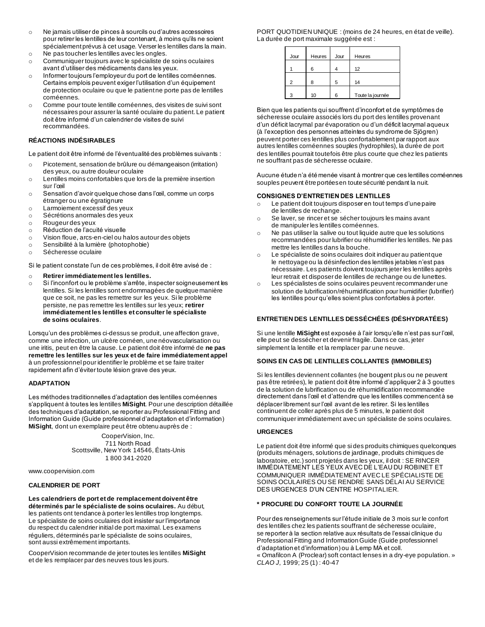- o Ne jamais utiliser de pinces à sourcils ou d'autres accessoires pour retirer les lentilles de leur contenant, à moins qu'ils ne soient spécialement prévus à cet usage. Verser les lentilles dans la main. o Ne pas toucher les lentilles avec les ongles.
- o Communiquer toujours avec le spécialiste de soins oculaires
- avant d'utiliser des médicaments dans les yeux. o Informer toujours l'employeur du port de lentilles cornéennes.
- Certains emplois peuvent exiger l'utilisation d'un équipement de protection oculaire ou que le patient ne porte pas de lentilles cornéennes.
- o Comme pour toute lentille cornéennes, des visites de suivi sont nécessaires pour assurer la santé oculaire du patient. Le patient doit être informé d'un calendrier de visites de suivi recommandées.

# **RÉACTIONS INDÉSIRABLES**

Le patient doit être informé de l'éventualité des problèmes suivants :

- o Picotement, sensation de brûlure ou démangeaison (irritation) des yeux, ou autre douleur oculaire
- o Lentilles moins confortables que lors de la première insertion sur l'œil
- o Sensation d'avoir quelque chose dans l'œil, comme un corps étranger ou une égratignure
- o Larmoiement excessif des yeux
- o Sécrétions anormales des yeux
- o Rougeur des yeux
- o Réduction de l'acuité visuelle
- o Vision floue, arcs-en-ciel ou halos autour des objets
- o Sensibilité à la lumière (photophobie)
- o Sécheresse oculaire

Si le patient constate l'un de ces problèmes, il doit être avisé de :

## o **Retirer immédiatement les lentilles.**

o Si l'inconfort ou le problème s'arrête, inspecter soigneusement les lentilles. Si les lentilles sont endommagées de quelque manière que ce soit, ne pas les remettre sur les yeux. Si le problème persiste, ne pas remettre les lentilles sur les yeux; **retirer immédiatement les lentilles et consulter le spécialiste de soins oculaires**.

Lorsqu'un des problèmes ci-dessus se produit, une affection grave, comme une infection, un ulcère cornéen, une néovascularisation ou une iritis, peut en être la cause. Le patient doit être informé de **ne pas remettre les lentilles sur les yeux et de faire immédiatement appel** à un professionnel pour identifier le problème et se faire traiter rapidement afin d'éviter toute lésion grave des yeux.

## **ADAPTATION**

Les méthodes traditionnelles d'adaptation des lentilles cornéennes s'appliquent à toutes les lentilles **MiSight**. Pour une description détaillée des techniques d'adaptation, se reporter au Professional Fitting and Information Guide (Guide professionnel d'adaptation et d'information) **MiSight**, dont un exemplaire peut être obtenu auprès de :

> CooperVision, Inc. 711 North Road Scottsville, New York 14546, États-Unis 1 800 341-2020

www.coopervision.com

## **CALENDRIER DE PORT**

#### **Les calendriers de port et de remplacement doivent être déterminés par le spécialiste de soins oculaires.** Au début, les patients ont tendance à porter les lentilles trop longtemps. Le spécialiste de soins oculaires doit insister sur l'importance du respect du calendrier initial de port maximal. Les examens réguliers, déterminés par le spécialiste de soins oculaires, sont aussi extrêmement importants.

CooperVision recommande de jeter toutes les lentilles **MiSight**  et de les remplacer par des neuves tous les jours.

PORT QUOTIDIEN UNIQUE : (moins de 24 heures, en état de veille). La durée de port maximale suggérée est :

| Jour | Heures | Jour | Heures           |
|------|--------|------|------------------|
|      | 6      |      | 12               |
| っ    | 8      | 5    | 14               |
| 3    | 10     | 6    | Toute la journée |

Bien que les patients qui souffrent d'inconfort et de symptômes de sécheresse oculaire associés lors du port des lentilles provenant d'un déficit lacrymal par évaporation ou d'un déficit lacrymal aqueux (à l'exception des personnes atteintes du syndrome de Sjögren) peuvent porter ces lentilles plus confortablement par rapport aux autres lentilles cornéennes souples (hydrophiles), la durée de port des lentilles pourrait toutefois être plus courte que chez les patients ne souffrant pas de sécheresse oculaire.

Aucune étude n'a été menée visant à montrer que ces lentilles cornéennes souples peuvent être portées en toute sécurité pendant la nuit.

## **CONSIGNES D'ENTRETIEN DES LENTILLES**

- o Le patient doit toujours disposer en tout temps d'une paire de lentilles de rechange.
- o Se laver, se rincer et se sécher toujours les mains avant de manipuler les lentilles cornéennes.
- o Ne pas utiliser la salive ou tout liquide autre que les solutions recommandées pour lubrifier ou réhumidifier les lentilles. Ne pas mettre les lentilles dans la bouche.
- o Le spécialiste de soins oculaires doit indiquer au patient que le nettoyage ou la désinfection des lentilles jetables n'est pas nécessaire. Les patients doivent toujours jeter les lentilles après leur retrait et disposer de lentilles de rechange ou de lunettes.
- o Les spécialistes de soins oculaires peuvent recommander une solution de lubrification/réhumidification pour humidifier (lubrifier) les lentilles pour qu'elles soient plus confortables à porter.

# **ENTRETIEN DES LENTILLES DESSÉCHÉES (DÉSHYDRATÉES)**

Si une lentille **MiSight** est exposée à l'air lorsqu'elle n'est pas sur l'œil, elle peut se dessécher et devenir fragile. Dans ce cas, jeter simplement la lentille et la remplacer par une neuve.

## **SOINS EN CAS DE LENTILLES COLLANTES (IMMOBILES)**

Si les lentilles deviennent collantes (ne bougent plus ou ne peuvent pas être retirées), le patient doit être informé d'appliquer 2 à 3 gouttes de la solution de lubrification ou de réhumidification recommandée directement dans l'œil et d'attendre que les lentilles commencent à se déplacer librement sur l'œil avant de les retirer. Si les lentilles continuent de coller après plus de 5 minutes, le patient doit communiquer immédiatement avec un spécialiste de soins oculaires.

## **URGENCES**

Le patient doit être informé que si des produits chimiques quelconques (produits ménagers, solutions de jardinage, produits chimiques de laboratoire, etc.) sont projetés dans les yeux, il doit : SE RINCER IMMÉDIATEMENT LES YEUX AVEC DE L'EAU DU ROBINET ET COMMUNIQUER IMMÉDIATEMENT AVEC LE SPÉCIALISTE DE SOINS OCULAIRES OU SE RENDRE SANS DÉLAI AU SERVICE DES URGENCES D'UN CENTRE HOSPITALIER.

## **\* PROCURE DU CONFORT TOUTE LA JOURNÉE**

Pour des renseignements sur l'étude initiale de 3 mois sur le confort des lentilles chez les patients souffrant de sécheresse oculaire, se reporter à la section relative aux résultats de l'essai clinique du Professional Fitting and Information Guide (Guide professionnel d'adaptation et d'information) ou à Lemp MA et coll. « Omafilcon A (Proclear) soft contact lenses in a dry-eye population. » *CLAO J*, 1999; 25 (1) : 40-47